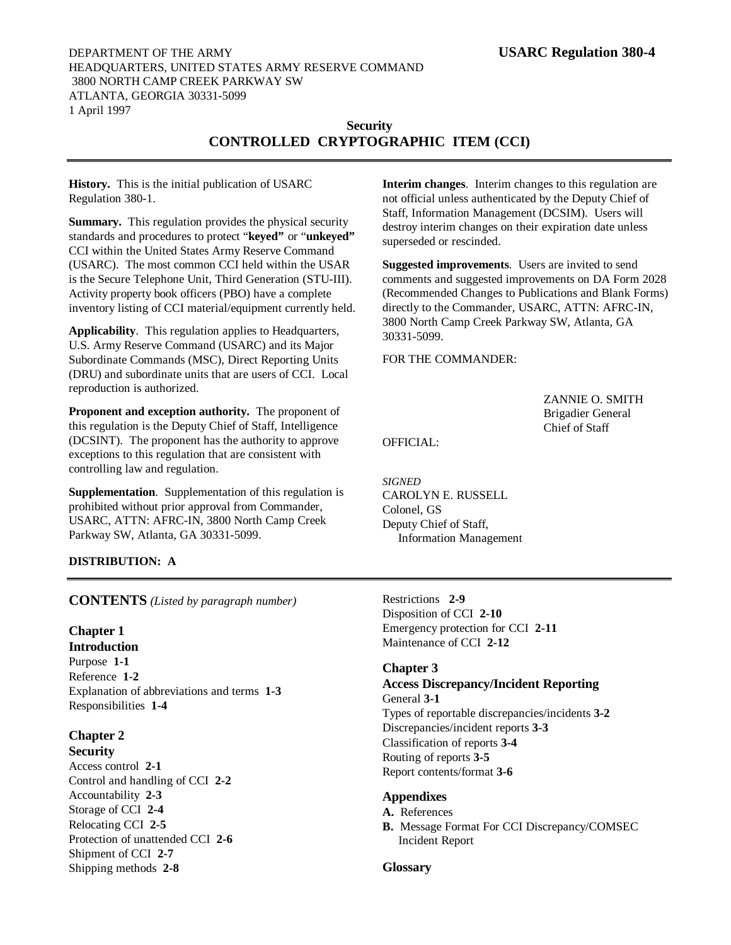## DEPARTMENT OF THE ARMY **USARC Regulation 380-4** HEADQUARTERS, UNITED STATES ARMY RESERVE COMMAND 3800 NORTH CAMP CREEK PARKWAY SW ATLANTA, GEORGIA 30331-5099 1 April 1997

## **Security CONTROLLED CRYPTOGRAPHIC ITEM (CCI)**

**History.** This is the initial publication of USARC Regulation 380-1.

**Summary.** This regulation provides the physical security standards and procedures to protect "**keyed"** or "**unkeyed"** CCI within the United States Army Reserve Command (USARC). The most common CCI held within the USAR is the Secure Telephone Unit, Third Generation (STU-III). Activity property book officers (PBO) have a complete inventory listing of CCI material/equipment currently held.

**Applicability**. This regulation applies to Headquarters, U.S. Army Reserve Command (USARC) and its Major Subordinate Commands (MSC), Direct Reporting Units (DRU) and subordinate units that are users of CCI. Local reproduction is authorized.

**Proponent and exception authority.** The proponent of this regulation is the Deputy Chief of Staff, Intelligence (DCSINT). The proponent has the authority to approve exceptions to this regulation that are consistent with controlling law and regulation.

**Supplementation**. Supplementation of this regulation is prohibited without prior approval from Commander, USARC, ATTN: AFRC-IN, 3800 North Camp Creek Parkway SW, Atlanta, GA 30331-5099.

## **DISTRIBUTION: A**

**Interim changes**. Interim changes to this regulation are not official unless authenticated by the Deputy Chief of Staff, Information Management (DCSIM). Users will destroy interim changes on their expiration date unless superseded or rescinded.

**Suggested improvements**. Users are invited to send comments and suggested improvements on DA Form 2028 (Recommended Changes to Publications and Blank Forms) directly to the Commander, USARC, ATTN: AFRC-IN, 3800 North Camp Creek Parkway SW, Atlanta, GA 30331-5099.

FOR THE COMMANDER:

ZANNIE O. SMITH Brigadier General Chief of Staff

OFFICIAL:

*SIGNED* CAROLYN E. RUSSELL Colonel, GS Deputy Chief of Staff, Information Management

**CONTENTS** *(Listed by paragraph number)*

## **Chapter 1**

**Introduction** Purpose **1-1** Reference **1-2** Explanation of abbreviations and terms **1-3** Responsibilities **1-4**

# **Chapter 2**

**Security** Access control **2-1** Control and handling of CCI **2-2** Accountability **2-3** Storage of CCI **2-4** Relocating CCI **2-5** Protection of unattended CCI **2-6** Shipment of CCI **2-7** Shipping methods **2-8**

Restrictions **2-9** Disposition of CCI **2-10** Emergency protection for CCI **2-11** Maintenance of CCI **2-12**

## **Chapter 3**

**Access Discrepancy/Incident Reporting** General **3-1** Types of reportable discrepancies/incidents **3-2** Discrepancies/incident reports **3-3** Classification of reports **3-4** Routing of reports **3-5** Report contents/format **3-6**

## **Appendixes**

- **A.** References
- **B.** Message Format For CCI Discrepancy/COMSEC Incident Report

## **Glossary**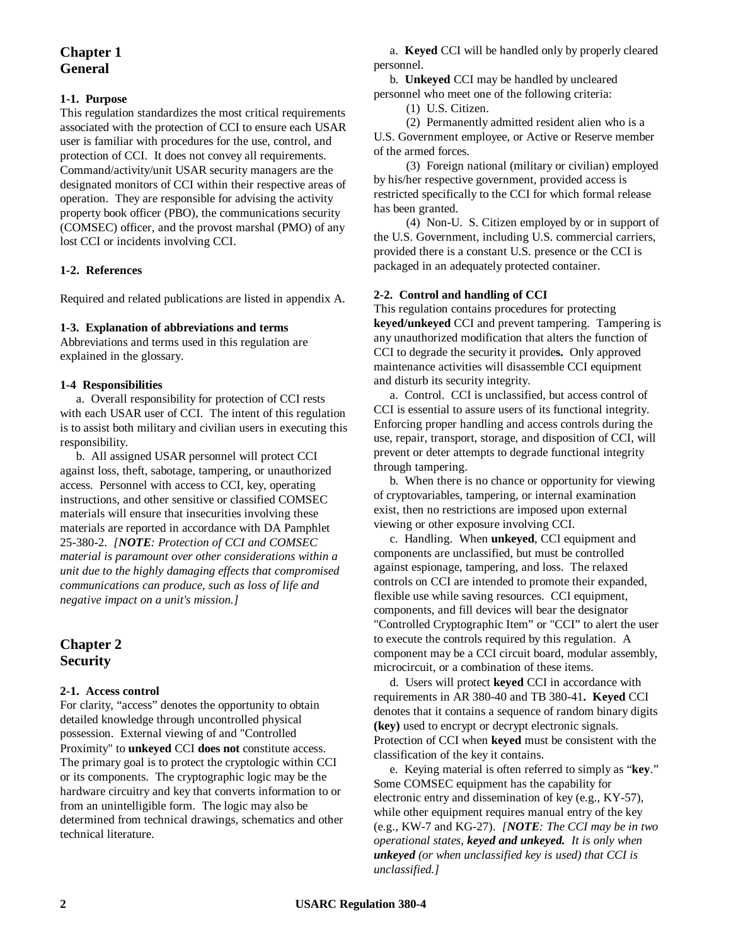## **Chapter 1 General**

## **1-1. Purpose**

This regulation standardizes the most critical requirements associated with the protection of CCI to ensure each USAR user is familiar with procedures for the use, control, and protection of CCI. It does not convey all requirements. Command/activity/unit USAR security managers are the designated monitors of CCI within their respective areas of operation. They are responsible for advising the activity property book officer (PBO), the communications security (COMSEC) officer, and the provost marshal (PMO) of any lost CCI or incidents involving CCI.

## **1-2. References**

Required and related publications are listed in appendix A.

## **1-3. Explanation of abbreviations and terms**

Abbreviations and terms used in this regulation are explained in the glossary.

## **1-4 Responsibilities**

a. Overall responsibility for protection of CCI rests with each USAR user of CCI. The intent of this regulation is to assist both military and civilian users in executing this responsibility.

b. All assigned USAR personnel will protect CCI against loss, theft, sabotage, tampering, or unauthorized access. Personnel with access to CCI, key, operating instructions, and other sensitive or classified COMSEC materials will ensure that insecurities involving these materials are reported in accordance with DA Pamphlet 25-380-2. *[NOTE: Protection of CCI and COMSEC material is paramount over other considerations within a unit due to the highly damaging effects that compromised communications can produce, such as loss of life and negative impact on a unit's mission.]*

## **Chapter 2 Security**

## **2-1. Access control**

For clarity, "access" denotes the opportunity to obtain detailed knowledge through uncontrolled physical possession. External viewing of and "Controlled Proximity" to **unkeyed** CCI **does not** constitute access. The primary goal is to protect the cryptologic within CCI or its components. The cryptographic logic may be the hardware circuitry and key that converts information to or from an unintelligible form. The logic may also be determined from technical drawings, schematics and other technical literature.

a. **Keyed** CCI will be handled only by properly cleared personnel.

b. **Unkeyed** CCI may be handled by uncleared personnel who meet one of the following criteria:

(1) U.S. Citizen.

(2) Permanently admitted resident alien who is a U.S. Government employee, or Active or Reserve member of the armed forces.

(3) Foreign national (military or civilian) employed by his/her respective government, provided access is restricted specifically to the CCI for which formal release has been granted.

(4) Non-U. S. Citizen employed by or in support of the U.S. Government, including U.S. commercial carriers, provided there is a constant U.S. presence or the CCI is packaged in an adequately protected container.

## **2-2. Control and handling of CCI**

This regulation contains procedures for protecting **keyed/unkeyed** CCI and prevent tampering. Tampering is any unauthorized modification that alters the function of CCI to degrade the security it provide**s.** Only approved maintenance activities will disassemble CCI equipment and disturb its security integrity.

a. Control. CCI is unclassified, but access control of CCI is essential to assure users of its functional integrity. Enforcing proper handling and access controls during the use, repair, transport, storage, and disposition of CCI, will prevent or deter attempts to degrade functional integrity through tampering.

b. When there is no chance or opportunity for viewing of cryptovariables, tampering, or internal examination exist, then no restrictions are imposed upon external viewing or other exposure involving CCI.

c. Handling. When **unkeyed**, CCI equipment and components are unclassified, but must be controlled against espionage, tampering, and loss. The relaxed controls on CCI are intended to promote their expanded, flexible use while saving resources. CCI equipment, components, and fill devices will bear the designator "Controlled Cryptographic Item" or "CCI" to alert the user to execute the controls required by this regulation. A component may be a CCI circuit board, modular assembly, microcircuit, or a combination of these items.

d. Users will protect **keyed** CCI in accordance with requirements in AR 380-40 and TB 380-41**. Keyed** CCI denotes that it contains a sequence of random binary digits **(key)** used to encrypt or decrypt electronic signals. Protection of CCI when **keyed** must be consistent with the classification of the key it contains.

e. Keying material is often referred to simply as "**key**." Some COMSEC equipment has the capability for electronic entry and dissemination of key (e.g., KY-57), while other equipment requires manual entry of the key (e.g., KW-7 and KG-27). *[NOTE: The CCI may be in two operational states, keyed and unkeyed. It is only when unkeyed (or when unclassified key is used) that CCI is unclassified.]*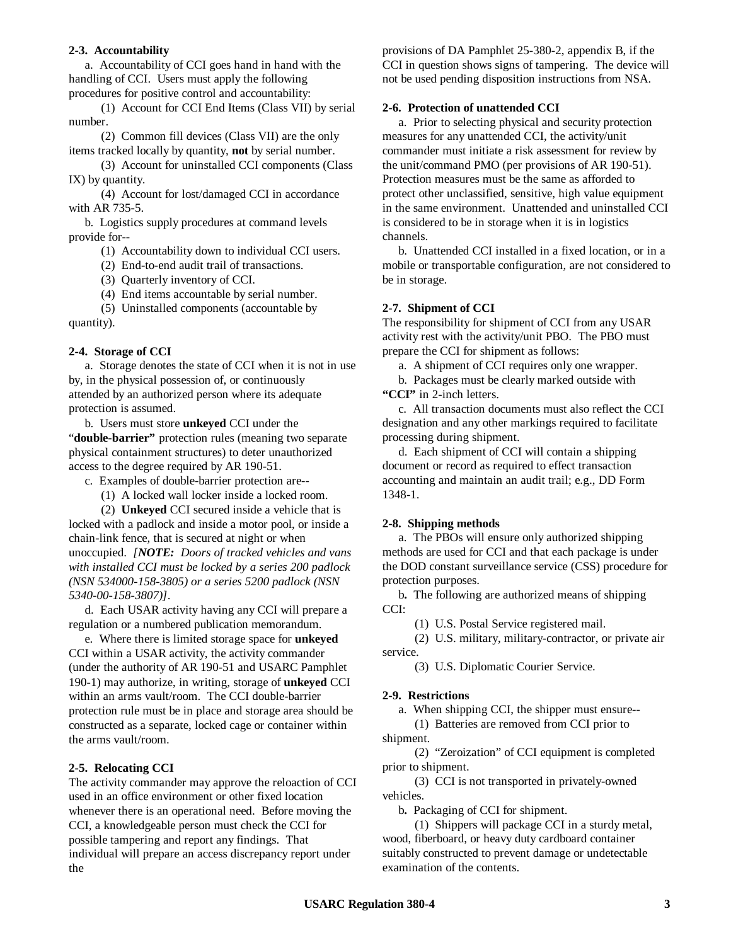#### **2-3. Accountability**

a. Accountability of CCI goes hand in hand with the handling of CCI. Users must apply the following procedures for positive control and accountability:

(1) Account for CCI End Items (Class VII) by serial number.

(2) Common fill devices (Class VII) are the only items tracked locally by quantity, **not** by serial number.

(3) Account for uninstalled CCI components (Class IX) by quantity.

(4) Account for lost/damaged CCI in accordance with AR 735-5.

b. Logistics supply procedures at command levels provide for--

(1) Accountability down to individual CCI users.

(2) End-to-end audit trail of transactions.

(3) Quarterly inventory of CCI.

(4) End items accountable by serial number.

(5) Uninstalled components (accountable by quantity).

#### **2-4. Storage of CCI**

a. Storage denotes the state of CCI when it is not in use by, in the physical possession of, or continuously attended by an authorized person where its adequate protection is assumed.

b. Users must store **unkeyed** CCI under the "double-barrier" protection rules (meaning two separate physical containment structures) to deter unauthorized access to the degree required by AR 190-51.

- c. Examples of double-barrier protection are--
	- (1) A locked wall locker inside a locked room.

(2) **Unkeyed** CCI secured inside a vehicle that is

locked with a padlock and inside a motor pool, or inside a chain-link fence, that is secured at night or when unoccupied. *[NOTE: Doors of tracked vehicles and vans with installed CCI must be locked by a series 200 padlock (NSN 534000-158-3805) or a series 5200 padlock (NSN 5340-00-158-3807)].*

d. Each USAR activity having any CCI will prepare a regulation or a numbered publication memorandum.

e. Where there is limited storage space for **unkeyed** CCI within a USAR activity, the activity commander (under the authority of AR 190-51 and USARC Pamphlet 190-1) may authorize, in writing, storage of **unkeyed** CCI within an arms vault/room. The CCI double-barrier protection rule must be in place and storage area should be constructed as a separate, locked cage or container within the arms vault/room.

#### **2-5. Relocating CCI**

The activity commander may approve the reloaction of CCI used in an office environment or other fixed location whenever there is an operational need. Before moving the CCI, a knowledgeable person must check the CCI for possible tampering and report any findings. That individual will prepare an access discrepancy report under the

provisions of DA Pamphlet 25-380-2, appendix B, if the CCI in question shows signs of tampering. The device will not be used pending disposition instructions from NSA.

#### **2-6. Protection of unattended CCI**

a. Prior to selecting physical and security protection measures for any unattended CCI, the activity/unit commander must initiate a risk assessment for review by the unit/command PMO (per provisions of AR 190-51). Protection measures must be the same as afforded to protect other unclassified, sensitive, high value equipment in the same environment. Unattended and uninstalled CCI is considered to be in storage when it is in logistics channels.

b. Unattended CCI installed in a fixed location, or in a mobile or transportable configuration, are not considered to be in storage.

#### **2-7. Shipment of CCI**

The responsibility for shipment of CCI from any USAR activity rest with the activity/unit PBO. The PBO must prepare the CCI for shipment as follows:

a. A shipment of CCI requires only one wrapper. b. Packages must be clearly marked outside with

**"CCI"** in 2-inch letters.

c. All transaction documents must also reflect the CCI designation and any other markings required to facilitate processing during shipment.

d. Each shipment of CCI will contain a shipping document or record as required to effect transaction accounting and maintain an audit trail; e.g., DD Form 1348-1.

#### **2-8. Shipping methods**

a. The PBOs will ensure only authorized shipping methods are used for CCI and that each package is under the DOD constant surveillance service (CSS) procedure for protection purposes.

b**.** The following are authorized means of shipping CCI:

(1) U.S. Postal Service registered mail.

(2) U.S. military, military-contractor, or private air service.

(3) U.S. Diplomatic Courier Service.

#### **2-9. Restrictions**

a. When shipping CCI, the shipper must ensure--

(1) Batteries are removed from CCI prior to shipment.

(2) "Zeroization" of CCI equipment is completed prior to shipment.

(3) CCI is not transported in privately-owned vehicles.

b**.** Packaging of CCI for shipment.

(1) Shippers will package CCI in a sturdy metal, wood, fiberboard, or heavy duty cardboard container suitably constructed to prevent damage or undetectable examination of the contents.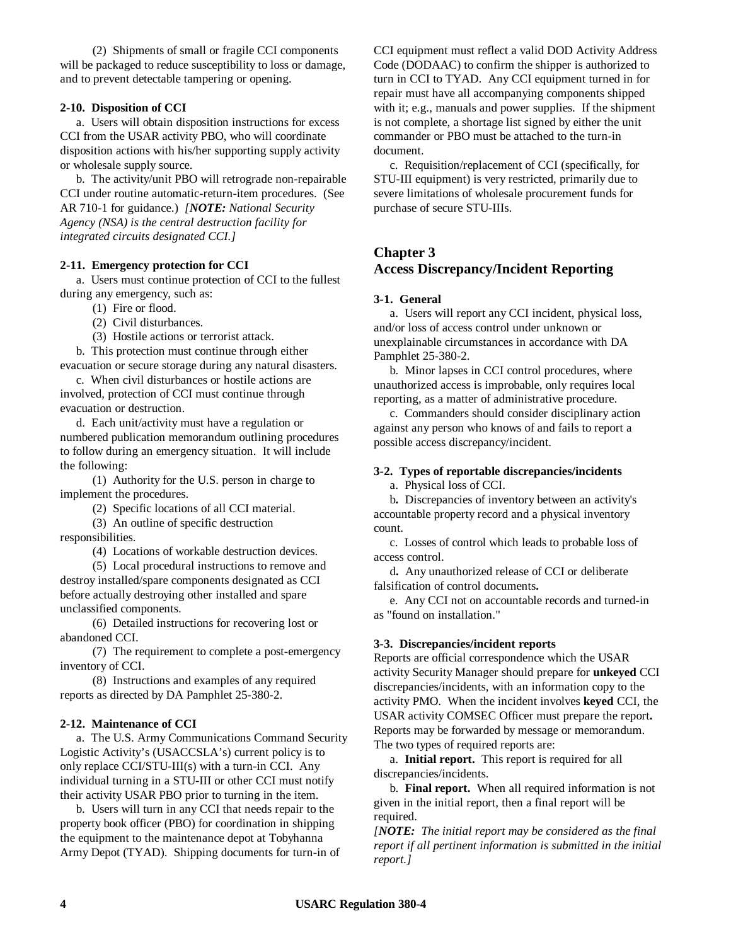(2) Shipments of small or fragile CCI components will be packaged to reduce susceptibility to loss or damage, and to prevent detectable tampering or opening.

#### **2-10. Disposition of CCI**

a. Users will obtain disposition instructions for excess CCI from the USAR activity PBO, who will coordinate disposition actions with his/her supporting supply activity or wholesale supply source.

b. The activity/unit PBO will retrograde non-repairable CCI under routine automatic-return-item procedures. (See AR 710-1 for guidance.) *[NOTE: National Security Agency (NSA) is the central destruction facility for integrated circuits designated CCI.]*

#### **2-11. Emergency protection for CCI**

a. Users must continue protection of CCI to the fullest during any emergency, such as:

(1) Fire or flood.

- (2) Civil disturbances.
- (3) Hostile actions or terrorist attack.

b. This protection must continue through either evacuation or secure storage during any natural disasters.

c. When civil disturbances or hostile actions are involved, protection of CCI must continue through evacuation or destruction.

d. Each unit/activity must have a regulation or numbered publication memorandum outlining procedures to follow during an emergency situation. It will include the following:

(1) Authority for the U.S. person in charge to implement the procedures.

(2) Specific locations of all CCI material.

(3) An outline of specific destruction responsibilities.

(4) Locations of workable destruction devices.

(5) Local procedural instructions to remove and destroy installed/spare components designated as CCI before actually destroying other installed and spare unclassified components.

(6) Detailed instructions for recovering lost or abandoned CCI.

(7) The requirement to complete a post-emergency inventory of CCI.

(8) Instructions and examples of any required reports as directed by DA Pamphlet 25-380-2.

#### **2-12. Maintenance of CCI**

a. The U.S. Army Communications Command Security Logistic Activity's (USACCSLA's) current policy is to only replace CCI/STU-III(s) with a turn-in CCI. Any individual turning in a STU-III or other CCI must notify their activity USAR PBO prior to turning in the item.

b. Users will turn in any CCI that needs repair to the property book officer (PBO) for coordination in shipping the equipment to the maintenance depot at Tobyhanna Army Depot (TYAD). Shipping documents for turn-in of CCI equipment must reflect a valid DOD Activity Address Code (DODAAC) to confirm the shipper is authorized to turn in CCI to TYAD. Any CCI equipment turned in for repair must have all accompanying components shipped with it; e.g., manuals and power supplies. If the shipment is not complete, a shortage list signed by either the unit commander or PBO must be attached to the turn-in document.

c. Requisition/replacement of CCI (specifically, for STU-III equipment) is very restricted, primarily due to severe limitations of wholesale procurement funds for purchase of secure STU-IIIs.

## **Chapter 3 Access Discrepancy/Incident Reporting**

#### **3-1. General**

a. Users will report any CCI incident, physical loss, and/or loss of access control under unknown or unexplainable circumstances in accordance with DA Pamphlet 25-380-2.

b. Minor lapses in CCI control procedures, where unauthorized access is improbable, only requires local reporting, as a matter of administrative procedure.

c. Commanders should consider disciplinary action against any person who knows of and fails to report a possible access discrepancy/incident.

#### **3-2. Types of reportable discrepancies/incidents**

a. Physical loss of CCI.

b**.** Discrepancies of inventory between an activity's accountable property record and a physical inventory count.

c. Losses of control which leads to probable loss of access control.

d**.** Any unauthorized release of CCI or deliberate falsification of control documents**.**

e. Any CCI not on accountable records and turned-in as "found on installation."

#### **3-3. Discrepancies/incident reports**

Reports are official correspondence which the USAR activity Security Manager should prepare for **unkeyed** CCI discrepancies/incidents, with an information copy to the activity PMO.When the incident involves **keyed** CCI, the USAR activity COMSEC Officer must prepare the report**.** Reports may be forwarded by message or memorandum. The two types of required reports are:

a. **Initial report.** This report is required for all discrepancies/incidents.

b. **Final report.** When all required information is not given in the initial report, then a final report will be required.

*[NOTE: The initial report may be considered as the final report if all pertinent information is submitted in the initial report.]*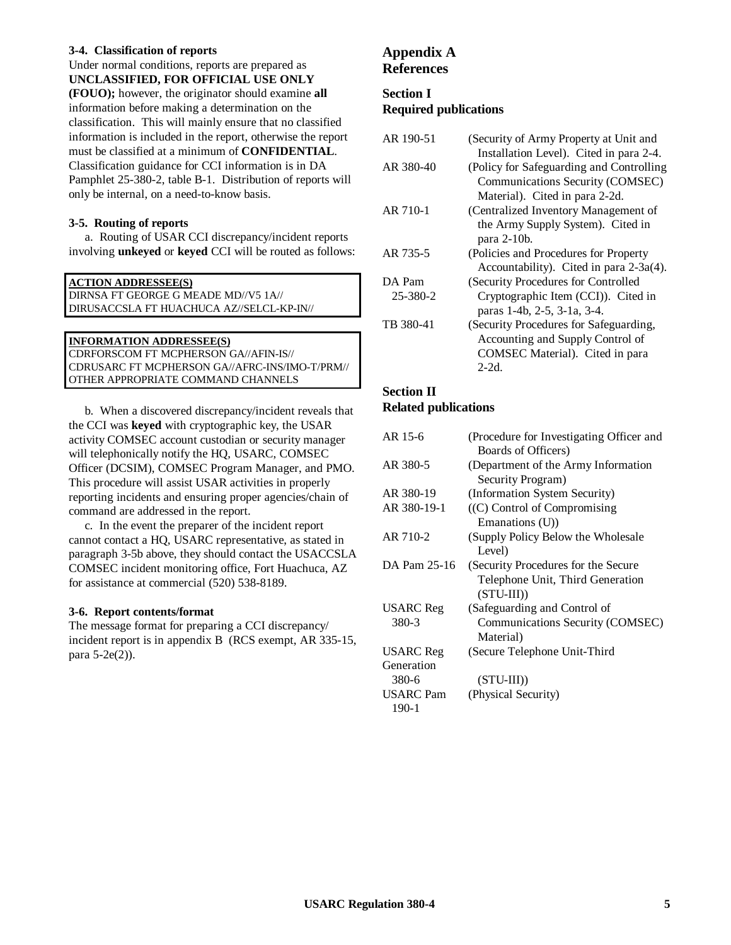#### **3-4. Classification of reports**

Under normal conditions, reports are prepared as **UNCLASSIFIED, FOR OFFICIAL USE ONLY**

**(FOUO);** however, the originator should examine **all** information before making a determination on the classification. This will mainly ensure that no classified information is included in the report, otherwise the report must be classified at a minimum of **CONFIDENTIAL**. Classification guidance for CCI information is in DA Pamphlet 25-380-2, table B-1. Distribution of reports will only be internal, on a need-to-know basis.

#### **3-5. Routing of reports**

a. Routing of USAR CCI discrepancy/incident reports involving **unkeyed** or **keyed** CCI will be routed as follows:

#### **ACTION ADDRESSEE(S)**

DIRNSA FT GEORGE G MEADE MD//V5 1A// DIRUSACCSLA FT HUACHUCA AZ//SELCL-KP-IN//

#### **INFORMATION ADDRESSEE(S)**

CDRFORSCOM FT MCPHERSON GA//AFIN-IS// CDRUSARC FT MCPHERSON GA//AFRC-INS/IMO-T/PRM// OTHER APPROPRIATE COMMAND CHANNELS

b. When a discovered discrepancy/incident reveals that the CCI was **keyed** with cryptographic key, the USAR activity COMSEC account custodian or security manager will telephonically notify the HQ, USARC, COMSEC Officer (DCSIM), COMSEC Program Manager, and PMO. This procedure will assist USAR activities in properly reporting incidents and ensuring proper agencies/chain of command are addressed in the report.

c. In the event the preparer of the incident report cannot contact a HQ, USARC representative, as stated in paragraph 3-5b above, they should contact the USACCSLA COMSEC incident monitoring office, Fort Huachuca, AZ for assistance at commercial (520) 538-8189.

#### **3-6. Report contents/format**

The message format for preparing a CCI discrepancy/ incident report is in appendix B (RCS exempt, AR 335-15, para 5-2e(2)).

## **Appendix A References**

## **Section I Required publications**

| AR 190-51 | (Security of Army Property at Unit and    |
|-----------|-------------------------------------------|
|           | Installation Level). Cited in para 2-4.   |
| AR 380-40 | (Policy for Safeguarding and Controlling) |
|           | Communications Security (COMSEC)          |
|           | Material). Cited in para 2-2d.            |
| AR 710-1  | (Centralized Inventory Management of      |
|           | the Army Supply System). Cited in         |
|           | para $2-10b$ .                            |
| AR 735-5  | (Policies and Procedures for Property     |
|           | Accountability). Cited in para 2-3a(4).   |
| DA Pam    | (Security Procedures for Controlled       |
| 25-380-2  | Cryptographic Item (CCI)). Cited in       |
|           | paras 1-4b, 2-5, 3-1a, 3-4.               |
| TB 380-41 | (Security Procedures for Safeguarding,    |
|           | Accounting and Supply Control of          |
|           | COMSEC Material). Cited in para           |
|           | $2-2d$ .                                  |

## **Section II**

## **Related publications**

| AR 15-6          | (Procedure for Investigating Officer and |
|------------------|------------------------------------------|
|                  | Boards of Officers)                      |
| AR 380-5         | (Department of the Army Information      |
|                  | Security Program)                        |
| AR 380-19        | (Information System Security)            |
| AR 380-19-1      | $((C)$ Control of Compromising           |
|                  | Emanations (U))                          |
| AR 710-2         | (Supply Policy Below the Wholesale)      |
|                  | Level)                                   |
| DA Pam 25-16     | (Security Procedures for the Secure      |
|                  | Telephone Unit, Third Generation         |
|                  | $(STU-III)$                              |
| USARC Reg        | (Safeguarding and Control of             |
| 380-3            | Communications Security (COMSEC)         |
|                  | Material)                                |
| <b>USARC</b> Reg | (Secure Telephone Unit-Third             |
| Generation       |                                          |
| 380-6            | $(STU-III))$                             |
| <b>USARC</b> Pam | (Physical Security)                      |
| $190-1$          |                                          |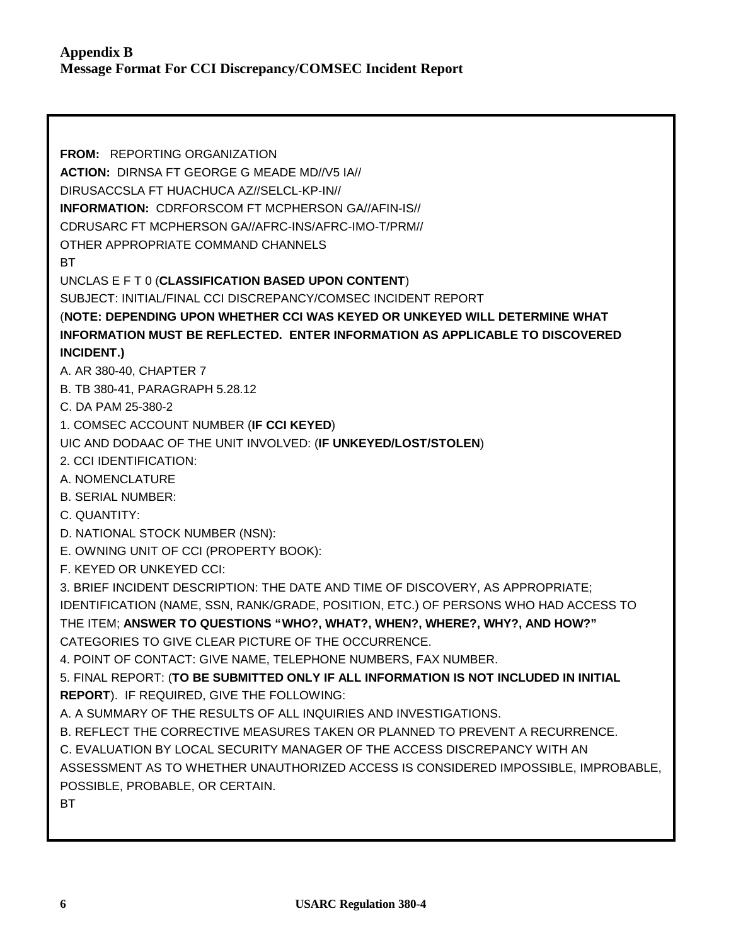**FROM:** REPORTING ORGANIZATION **ACTION:** DIRNSA FT GEORGE G MEADE MD//V5 IA// DIRUSACCSLA FT HUACHUCA AZ//SELCL-KP-IN// **INFORMATION:** CDRFORSCOM FT MCPHERSON GA//AFIN-IS// CDRUSARC FT MCPHERSON GA//AFRC-INS/AFRC-IMO-T/PRM// OTHER APPROPRIATE COMMAND CHANNELS BT UNCLAS E F T 0 (**CLASSIFICATION BASED UPON CONTENT**) SUBJECT: INITIAL/FINAL CCI DISCREPANCY/COMSEC INCIDENT REPORT (**NOTE: DEPENDING UPON WHETHER CCI WAS KEYED OR UNKEYED WILL DETERMINE WHAT INFORMATION MUST BE REFLECTED. ENTER INFORMATION AS APPLICABLE TO DISCOVERED INCIDENT.)** A. AR 380-40, CHAPTER 7 B. TB 380-41, PARAGRAPH 5.28.12 C. DA PAM 25-380-2 1. COMSEC ACCOUNT NUMBER (**IF CCI KEYED**) UIC AND DODAAC OF THE UNIT INVOLVED: (**IF UNKEYED/LOST/STOLEN**) 2. CCI IDENTIFICATION: A. NOMENCLATURE B. SERIAL NUMBER: C. QUANTITY: D. NATIONAL STOCK NUMBER (NSN): E. OWNING UNIT OF CCI (PROPERTY BOOK): F. KEYED OR UNKEYED CCI: 3. BRIEF INCIDENT DESCRIPTION: THE DATE AND TIME OF DISCOVERY, AS APPROPRIATE; IDENTIFICATION (NAME, SSN, RANK/GRADE, POSITION, ETC.) OF PERSONS WHO HAD ACCESS TO THE ITEM; **ANSWER TO QUESTIONS "WHO?, WHAT?, WHEN?, WHERE?, WHY?, AND HOW?"** CATEGORIES TO GIVE CLEAR PICTURE OF THE OCCURRENCE. 4. POINT OF CONTACT: GIVE NAME, TELEPHONE NUMBERS, FAX NUMBER. 5. FINAL REPORT: (**TO BE SUBMITTED ONLY IF ALL INFORMATION IS NOT INCLUDED IN INITIAL REPORT**). IF REQUIRED, GIVE THE FOLLOWING: A. A SUMMARY OF THE RESULTS OF ALL INQUIRIES AND INVESTIGATIONS. B. REFLECT THE CORRECTIVE MEASURES TAKEN OR PLANNED TO PREVENT A RECURRENCE. C. EVALUATION BY LOCAL SECURITY MANAGER OF THE ACCESS DISCREPANCY WITH AN ASSESSMENT AS TO WHETHER UNAUTHORIZED ACCESS IS CONSIDERED IMPOSSIBLE, IMPROBABLE, POSSIBLE, PROBABLE, OR CERTAIN. BT